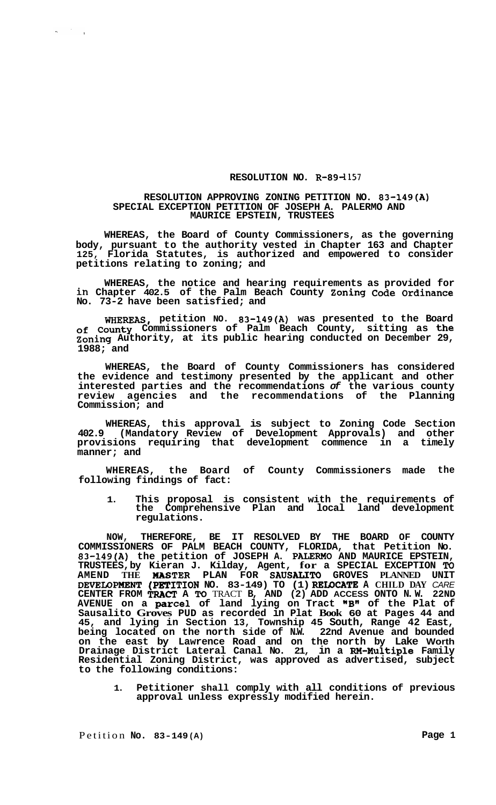## **RESOLUTION NO. R-894157**

## **RESOLUTION APPROVING ZONING PETITION NO. 83-149(A) SPECIAL EXCEPTION PETITION OF JOSEPH A. PALERMO AND MAURICE EPSTEIN, TRUSTEES**

**WHEREAS, the Board of County Commissioners, as the governing body, pursuant to the authority vested in Chapter 163 and Chapter 125, Florida Statutes, is authorized and empowered to consider petitions relating to zoning; and** 

**WHEREAS, the notice and hearing requirements as provided for in Chapter 402.5 of the Palm Beach County Zoning Code Ordinance No. 73-2 have been satisfied; and** 

**WHEREAS, petition NO. 83-149(A) was presented to the Board of County Commissioners of Palm Beach County, sitting as the Zoning Authority, at its public hearing conducted on December 29, 1988; and** 

**WHEREAS, the Board of County Commissioners has considered the evidence and testimony presented by the applicant and other interested parties and the recommendations** *of* **the various county review agencies and the recommendations of the Planning Commission; and** 

**WHEREAS, this approval is subject to Zoning Code Section 402.9 (Mandatory Review of Development Approvals) and other provisions requiring that development commence in a timely manner; and** 

**WHEREAS, the Board of County Commissioners made the following findings of fact:** 

**1. This proposal is consistent with the requirements of the Comprehensive Plan and local land development regulations.** 

**NOW, THEREFORE, BE IT RESOLVED BY THE BOARD OF COUNTY COMMISSIONERS OF PALM BEACH COUNTY, FLORIDA, that Petition No. 83-149(A) the petition of JOSEPH A. PALERMO AND MAURICE EPSTEIN, TRUSTEES, by Kieran J. Kilday, Agent, for a SPECIAL EXCEPTION To AMEND THE HASTER PLAN FOR SAUSALITO GROVES PLANNED UNIT DEVELOPMENT (PETITION NO. 83-149) TO (1) RELOCATE A CHILD DAY CARE CENTER FROM** *TRACT* **A To** TRACT **B, AND (2) ADD ACCESS ONTO N. W. 22ND AVENUE on a parcel of land lying on Tract "B" of the Plat of Sausalito Groves PUD as recorded in Plat Book 60 at Pages 44 and 45, and lying in Section 13, Township 45 South, Range 42 East, being located on the north side of N.W. 22nd Avenue and bounded on the east by Lawrence Road and on the north by Lake Worth Drainage District Lateral Canal No. 21, in a RM-Multiple Family Residential Zoning District, was approved as advertised, subject to the following conditions:** 

**1. Petitioner shall comply with all conditions of previous approval unless expressly modified herein.** 

 $\label{eq:2} \mathcal{A} = \frac{1}{2} \sum_{i=1}^n \mathcal{A}_i \mathcal{A}_i$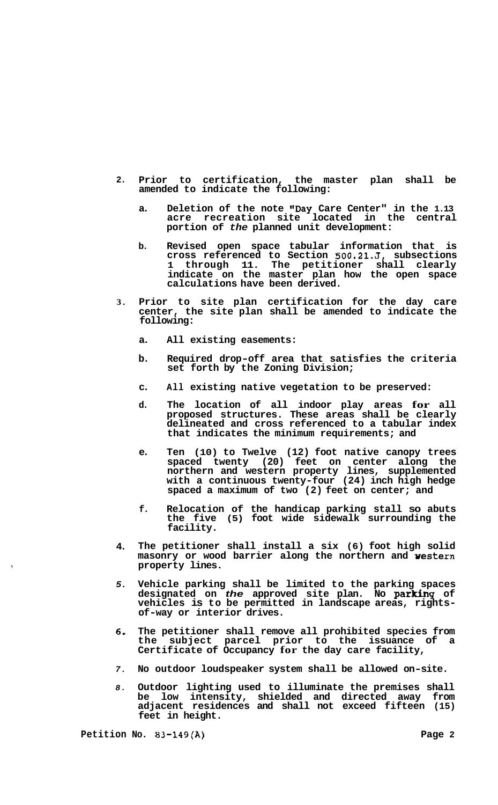- **2. Prior to certification, the master plan shall be amended to indicate the following:** 
	- **a. Deletion of the note I'Day Care Center" in the 1.13 acre recreation site located in the central portion of** *the* **planned unit development:**
	- **b. Revised open space tabular information that is cross referenced to Section 500.21.J, subsections 1 through 11. The petitioner shall clearly indicate on the master plan how the open space calculations have been derived.**
- **3. Prior to site plan certification for the day care center, the site plan shall be amended to indicate the following:** 
	- **a. All existing easements:**
	- **b. Required drop-off area that satisfies the criteria set forth by the Zoning Division;**
	- **c. All existing native vegetation to be preserved:**
	- **d. The location of all indoor play areas for all proposed structures. These areas shall be clearly delineated and cross referenced to a tabular index that indicates the minimum requirements; and**
	- **e. Ten (10) to Twelve (12) foot native canopy trees spaced twenty (20) feet on center along the northern and western property lines, supplemented with a continuous twenty-four (24) inch high hedge spaced a maximum of two (2) feet on center; and**
	- **f. Relocation of the handicap parking stall so abuts the five (5) foot wide sidewalk surrounding the facility.**
- **4. The petitioner shall install a six (6) foot high solid masonry or wood barrier along the northern and vestern property lines.**
- *5.*  **Vehicle parking shall be limited to the parking spaces designated on** *the* **approved site plan. No parking of vehicles is to be permitted in landscape areas, rights- of-way or interior drives.**
- *6.*  **The petitioner shall remove all prohibited species from the subject parcel prior to the issuance of a Certificate of Occupancy for the day care facility,**
- *7.*  **No outdoor loudspeaker system shall be allowed on-site.**
- *8.*  **Outdoor lighting used to illuminate the premises shall be low intensity, shielded and directed away from adjacent residences and shall not exceed fifteen (15) feet in height.**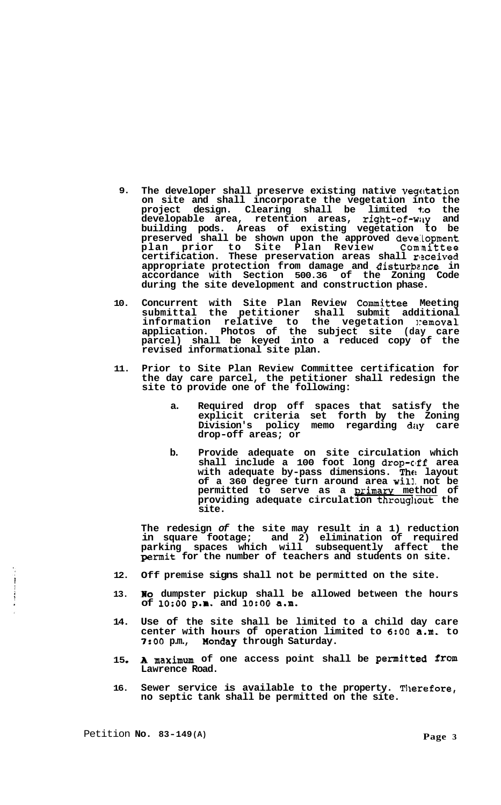- **9. The developer shall preserve existing native vegckation on site and shall incorporate the vegetation into the project design. Clearing shall be limited to the developable area, retention areas, right-of-wily and building pods. Areas of existing vegetation to be preserved shall be shown upon the approved deve:topment**  plan prior to Site Plan Review Committee certification. These preservation areas shall received **appropriate protection from damage and disturbence in accordance with Section 500.36 of the Zoning Code during the site development and construction phase.**
- **10. Concurrent with Site Plan Review Committee Meeting submittal the petitioner shall submit additional**  information relative to the vegetation **:** emoval **application. Photos of the subject site (day care parcel) shall be keyed into a reduced copy of the revised informational site plan.**
- **11. Prior to Site Plan Review Committee certification for the day care parcel, the petitioner shall redesign the site to provide one of the following:** 
	- **a. Required drop off spaces that satisfy the explicit criteria set forth by the Zoning Division's policy memo regarding day care drop-off areas; or**
	- **b. Provide adequate on site circulation which shall include a 100 foot long drop-clff area with adequate by-pass dimensions. The layout of a 360 degree turn around area will. not be**  permitted to serve as a **primary** method of **providing adequate circulation throughout the site.**

**The redesign** *of* **the site may result in a 1) reduction in square footage; and 2) elimination of required parking spaces which will subsequently affect the permit for the number of teachers and students on site.** 

- **12. Off premise signs shall not be permitted on the site.**
- **13. No** dumpster pickup shall be allowed between the hours **of 1O:OO p.m. and 1O:OO a.m.**
- **14. Use of the site shall be limited to a child day care center with hours of operation limited to 6:OO a.m. to**  *7:OO* **p.m., Xonday through Saturday.**
- **15 A maximum of one access point shall be permitted from Lawrence Road.**
- **16.**  Sewer service is available to the property. Therefore, **no septic tank shall be permitted on the site.**

Petition **No. 83-149 (A) Page 3** 

 $\ddot{\phantom{0}}$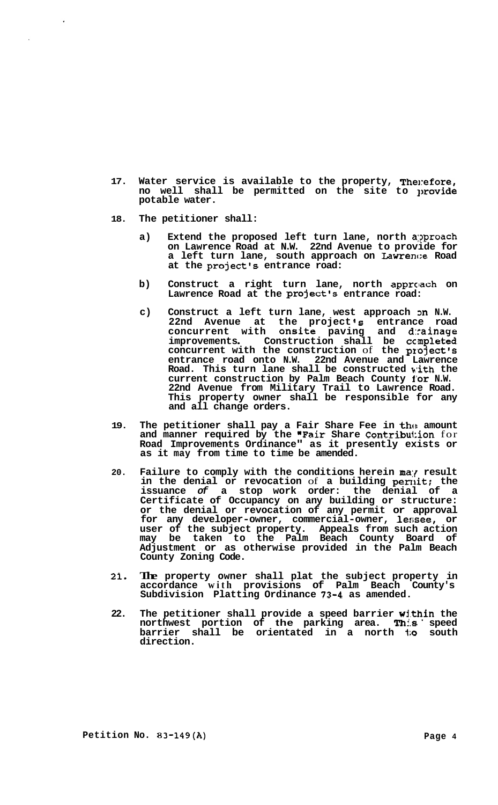- **17. Water service is available to the property, The]:efore, no well shall be permitted on the site to lmovide potable water.**
- **18. The petitioner shall:** 
	- **a) Extend the proposed left turn lane, north a:?proach on Lawrence Road at N.W. 22nd Avenue to provide for a left turn lane, south approach on Lawrence Road at the project's entrance road:**
	- b) Construct a right turn lane, north approach on **Lawrence Road at the project's entrance road:**
	- c) Construct a left turn lane, west approach on N.W. **22nd Avenue at the project 's entrance road concurrent with onsite paving and d:cainage**  concurrent with onsite paving and drainage improvements. Construction shall be completed **concurrent with the construction** of **the project's entrance road onto N.W. 22nd Avenue and Lawrence Road. This turn lane shall be constructed pith the current construction by Palm Beach County for N.W. 22nd Avenue from Military Trail to Lawrence Road. This property owner shall be responsible for any and all change orders.**
- **19. The petitioner shall pay a Fair Share Fee in thc! amount and manner required by the "Fair Share Contribu1:ion** for **Road Improvements Ordinance" as it presently exists or as it may from time to time be amended.**
- **20. Failure to comply with the conditions herein ma:{ result**  in the denial or revocation of a building permit; the **issuance** *of* **a stop work order: the denial of a Certificate of Occupancy on any building or structure: or the denial or revocation of any permit or approval for any developer-owner, commercial-owner, lessee, or user of the subject property. Appeals from such action may be taken to the Palm Beach County Board of Adjustment or as otherwise provided in the Palm Beach County Zoning Code.**
- **2 1. The property owner shall plat the subject property in accordance with provisions of Palm Beach County's Subdivision Platting Ordinance 73-4 as amended.**
- **22. The petitioner shall provide a speed barrier within the northwest portion of the parking area. This speed barrier shall be orientated in a north to south direction.**